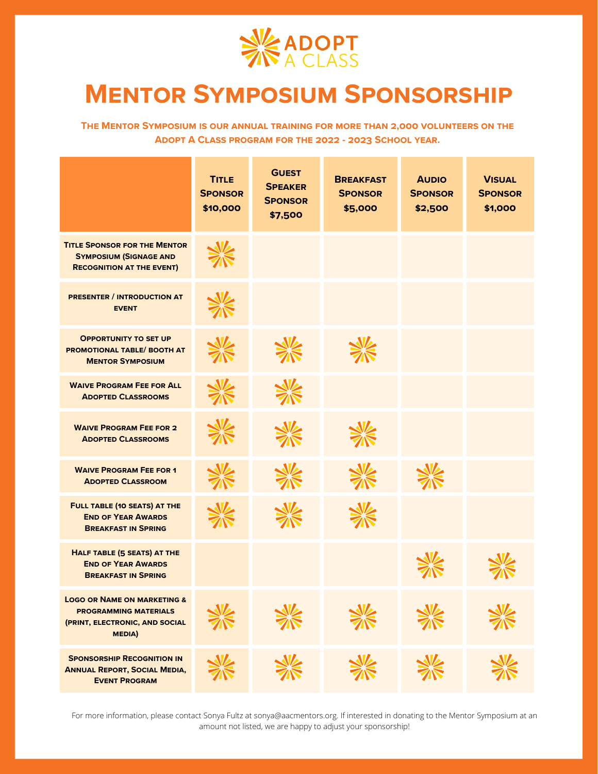

## **Mentor Symposium Sponsorship**

**The Mentor Symposium is our annual training for more than 2,000 volunteers on the Adopt A Class program for the 2022 - 2023 School year.**

|                                                                                                                           | <b>TITLE</b><br><b>SPONSOR</b><br>\$10,000 | <b>GUEST</b><br><b>SPEAKER</b><br><b>SPONSOR</b><br>\$7,500 | <b>BREAKFAST</b><br><b>SPONSOR</b><br>\$5,000 | <b>AUDIO</b><br><b>SPONSOR</b><br>\$2,500 | <b>VISUAL</b><br><b>SPONSOR</b><br>\$1,000 |
|---------------------------------------------------------------------------------------------------------------------------|--------------------------------------------|-------------------------------------------------------------|-----------------------------------------------|-------------------------------------------|--------------------------------------------|
| <b>TITLE SPONSOR FOR THE MENTOR</b><br><b>SYMPOSIUM (SIGNAGE AND</b><br><b>RECOGNITION AT THE EVENT)</b>                  |                                            |                                                             |                                               |                                           |                                            |
| <b>PRESENTER / INTRODUCTION AT</b><br><b>EVENT</b>                                                                        |                                            |                                                             |                                               |                                           |                                            |
| <b>OPPORTUNITY TO SET UP</b><br>PROMOTIONAL TABLE/ BOOTH AT<br><b>MENTOR SYMPOSIUM</b>                                    |                                            |                                                             |                                               |                                           |                                            |
| <b>WAIVE PROGRAM FEE FOR ALL</b><br><b>ADOPTED CLASSROOMS</b>                                                             |                                            |                                                             |                                               |                                           |                                            |
| <b>WAIVE PROGRAM FEE FOR 2</b><br><b>ADOPTED CLASSROOMS</b>                                                               |                                            |                                                             |                                               |                                           |                                            |
| <b>WAIVE PROGRAM FEE FOR 1</b><br><b>ADOPTED CLASSROOM</b>                                                                |                                            |                                                             |                                               |                                           |                                            |
| FULL TABLE (10 SEATS) AT THE<br><b>END OF YEAR AWARDS</b><br><b>BREAKFAST IN SPRING</b>                                   |                                            |                                                             |                                               |                                           |                                            |
| HALF TABLE (5 SEATS) AT THE<br><b>END OF YEAR AWARDS</b><br><b>BREAKFAST IN SPRING</b>                                    |                                            |                                                             |                                               |                                           |                                            |
| <b>LOGO OR NAME ON MARKETING &amp;</b><br><b>PROGRAMMING MATERIALS</b><br>(PRINT, ELECTRONIC, AND SOCIAL<br><b>MEDIA)</b> |                                            |                                                             |                                               |                                           |                                            |
| <b>SPONSORSHIP RECOGNITION IN</b><br><b>ANNUAL REPORT, SOCIAL MEDIA,</b><br><b>EVENT PROGRAM</b>                          |                                            |                                                             |                                               |                                           |                                            |

For more information, please contact Sonya Fultz at sonya@aacmentors.org. If interested in donating to the Mentor Symposium at an amount not listed, we are happy to adjust your sponsorship!